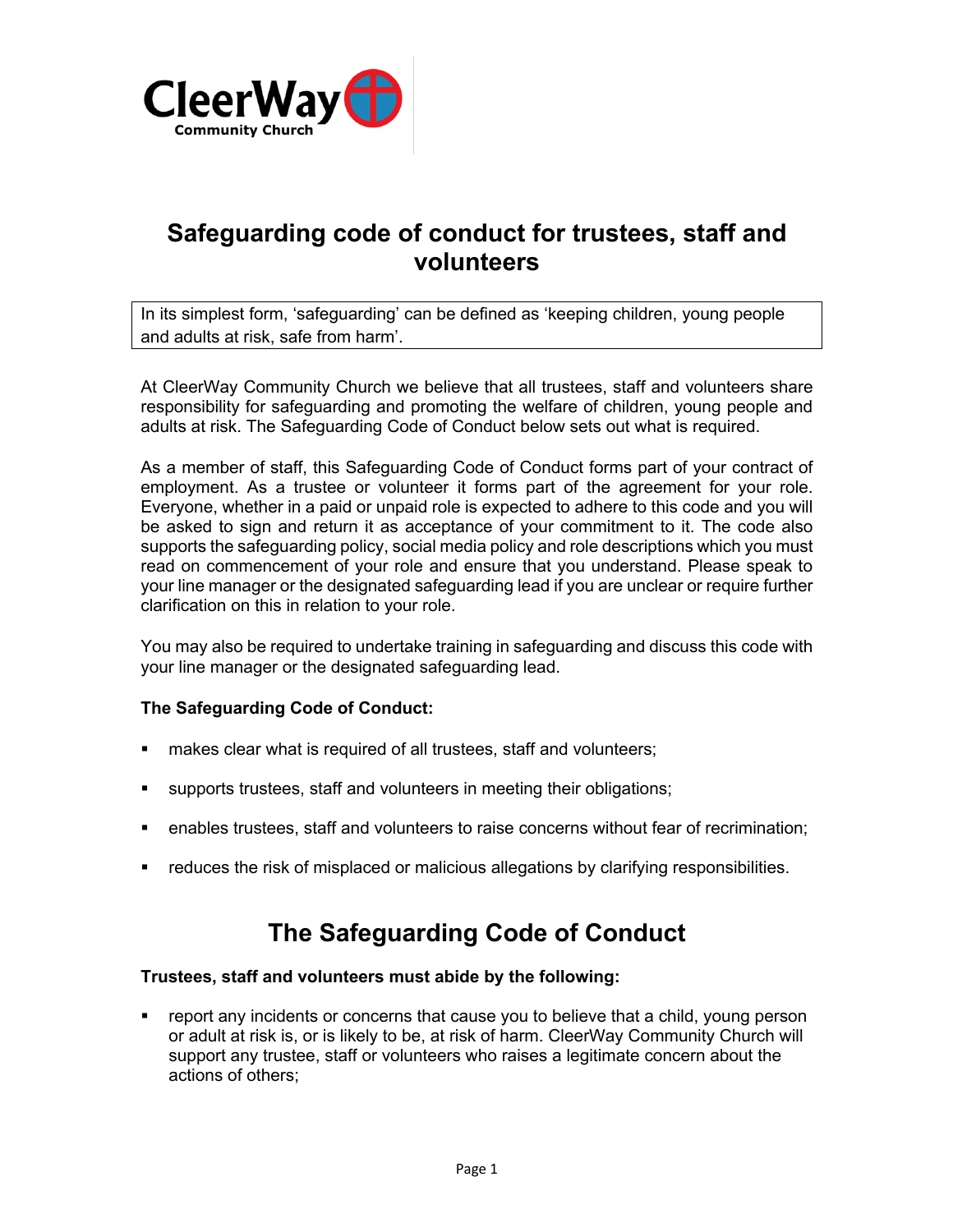

## **Safeguarding code of conduct for trustees, staff and volunteers**

In its simplest form, 'safeguarding' can be defined as 'keeping children, young people and adults at risk, safe from harm'.

At CleerWay Community Church we believe that all trustees, staff and volunteers share responsibility for safeguarding and promoting the welfare of children, young people and adults at risk. The Safeguarding Code of Conduct below sets out what is required.

As a member of staff, this Safeguarding Code of Conduct forms part of your contract of employment. As a trustee or volunteer it forms part of the agreement for your role. Everyone, whether in a paid or unpaid role is expected to adhere to this code and you will be asked to sign and return it as acceptance of your commitment to it. The code also supports the safeguarding policy, social media policy and role descriptions which you must read on commencement of your role and ensure that you understand. Please speak to your line manager or the designated safeguarding lead if you are unclear or require further clarification on this in relation to your role.

You may also be required to undertake training in safeguarding and discuss this code with your line manager or the designated safeguarding lead.

### **The Safeguarding Code of Conduct:**

- makes clear what is required of all trustees, staff and volunteers;
- § supports trustees, staff and volunteers in meeting their obligations;
- enables trustees, staff and volunteers to raise concerns without fear of recrimination;
- reduces the risk of misplaced or malicious allegations by clarifying responsibilities.

# **The Safeguarding Code of Conduct**

### **Trustees, staff and volunteers must abide by the following:**

report any incidents or concerns that cause you to believe that a child, young person or adult at risk is, or is likely to be, at risk of harm. CleerWay Community Church will support any trustee, staff or volunteers who raises a legitimate concern about the actions of others;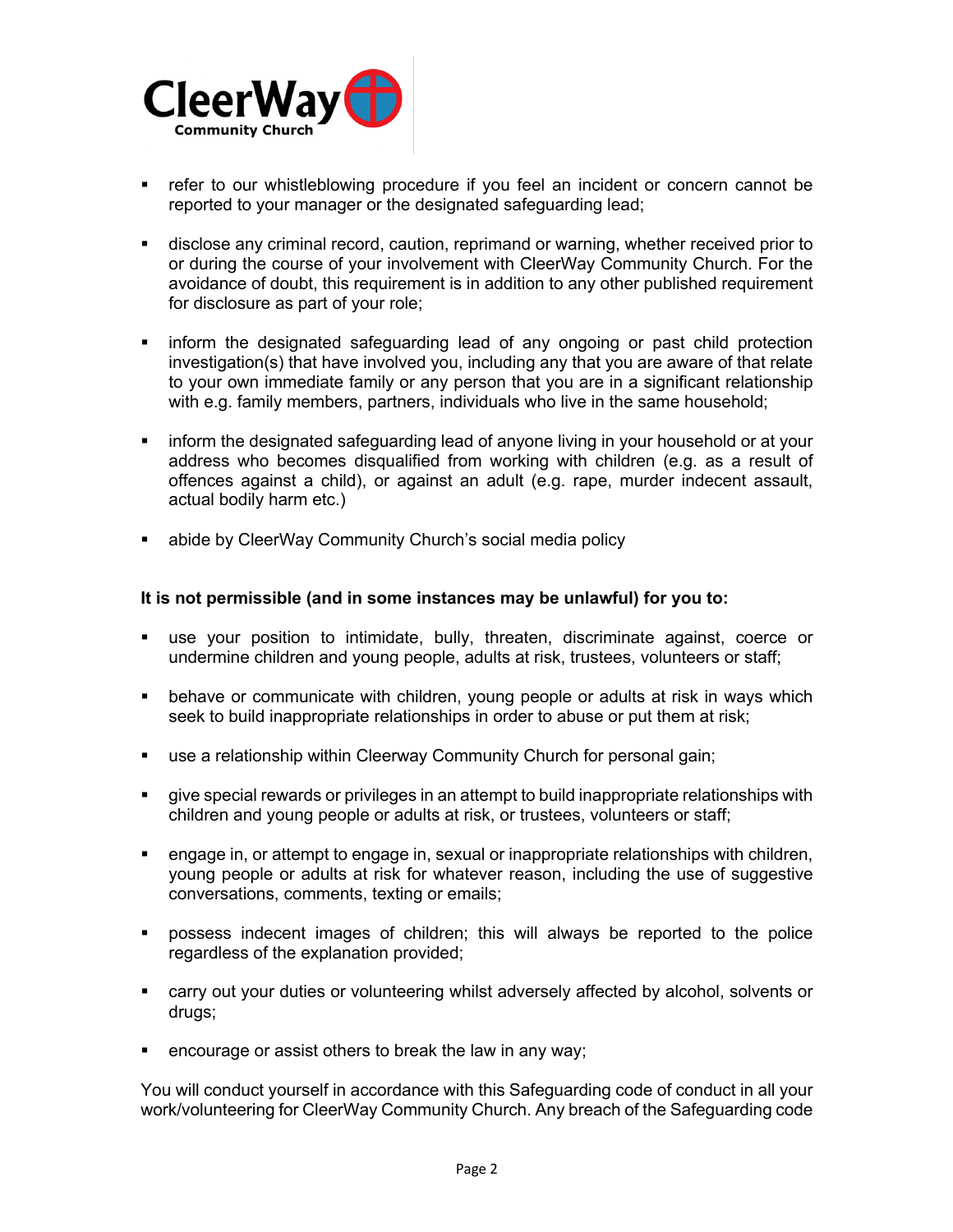

- refer to our whistleblowing procedure if you feel an incident or concern cannot be reported to your manager or the designated safeguarding lead;
- disclose any criminal record, caution, reprimand or warning, whether received prior to or during the course of your involvement with CleerWay Community Church. For the avoidance of doubt, this requirement is in addition to any other published requirement for disclosure as part of your role;
- inform the designated safeguarding lead of any ongoing or past child protection investigation(s) that have involved you, including any that you are aware of that relate to your own immediate family or any person that you are in a significant relationship with e.g. family members, partners, individuals who live in the same household;
- inform the designated safeguarding lead of anyone living in your household or at your address who becomes disqualified from working with children (e.g. as a result of offences against a child), or against an adult (e.g. rape, murder indecent assault, actual bodily harm etc.)
- abide by CleerWay Community Church's social media policy

### **It is not permissible (and in some instances may be unlawful) for you to:**

- use your position to intimidate, bully, threaten, discriminate against, coerce or undermine children and young people, adults at risk, trustees, volunteers or staff;
- behave or communicate with children, young people or adults at risk in ways which seek to build inappropriate relationships in order to abuse or put them at risk;
- use a relationship within Cleerway Community Church for personal gain;
- § give special rewards or privileges in an attempt to build inappropriate relationships with children and young people or adults at risk, or trustees, volunteers or staff;
- engage in, or attempt to engage in, sexual or inappropriate relationships with children, young people or adults at risk for whatever reason, including the use of suggestive conversations, comments, texting or emails;
- § possess indecent images of children; this will always be reported to the police regardless of the explanation provided;
- carry out your duties or volunteering whilst adversely affected by alcohol, solvents or drugs;
- encourage or assist others to break the law in any way;

You will conduct yourself in accordance with this Safeguarding code of conduct in all your work/volunteering for CleerWay Community Church. Any breach of the Safeguarding code